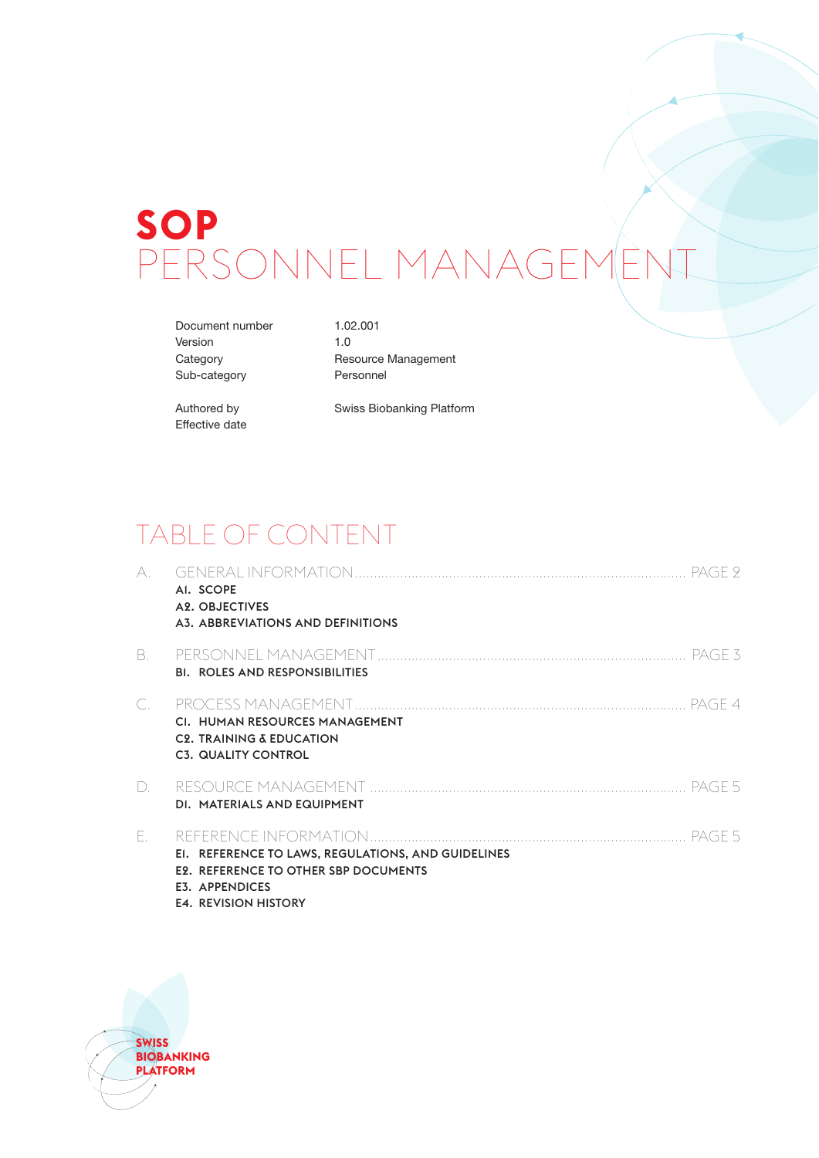# **SOP** PERSONNEL MANAGEMENT

Document number 1.02.001 Version 1.0 Sub-category Personnel

Category Resource Management

Effective date

Authored by Swiss Biobanking Platform

### TABLE OF CONTENT

| A.          | AI. SCOPE<br>A2. OBJECTIVES<br>A3. ABBREVIATIONS AND DEFINITIONS                                                                                          |  |
|-------------|-----------------------------------------------------------------------------------------------------------------------------------------------------------|--|
| B.          | <b>BI. ROLES AND RESPONSIBILITIES</b>                                                                                                                     |  |
| $\subset$   | CI. HUMAN RESOURCES MANAGEMENT<br><b>C2. TRAINING &amp; EDUCATION</b><br><b>C3. QUALITY CONTROL</b>                                                       |  |
| $D_{\cdot}$ | DI. MATERIALS AND EQUIPMENT                                                                                                                               |  |
| Ε.          | EI. REFERENCE TO LAWS, REGULATIONS, AND GUIDELINES<br><b>E2. REFERENCE TO OTHER SBP DOCUMENTS</b><br><b>E3. APPENDICES</b><br><b>E4. REVISION HISTORY</b> |  |

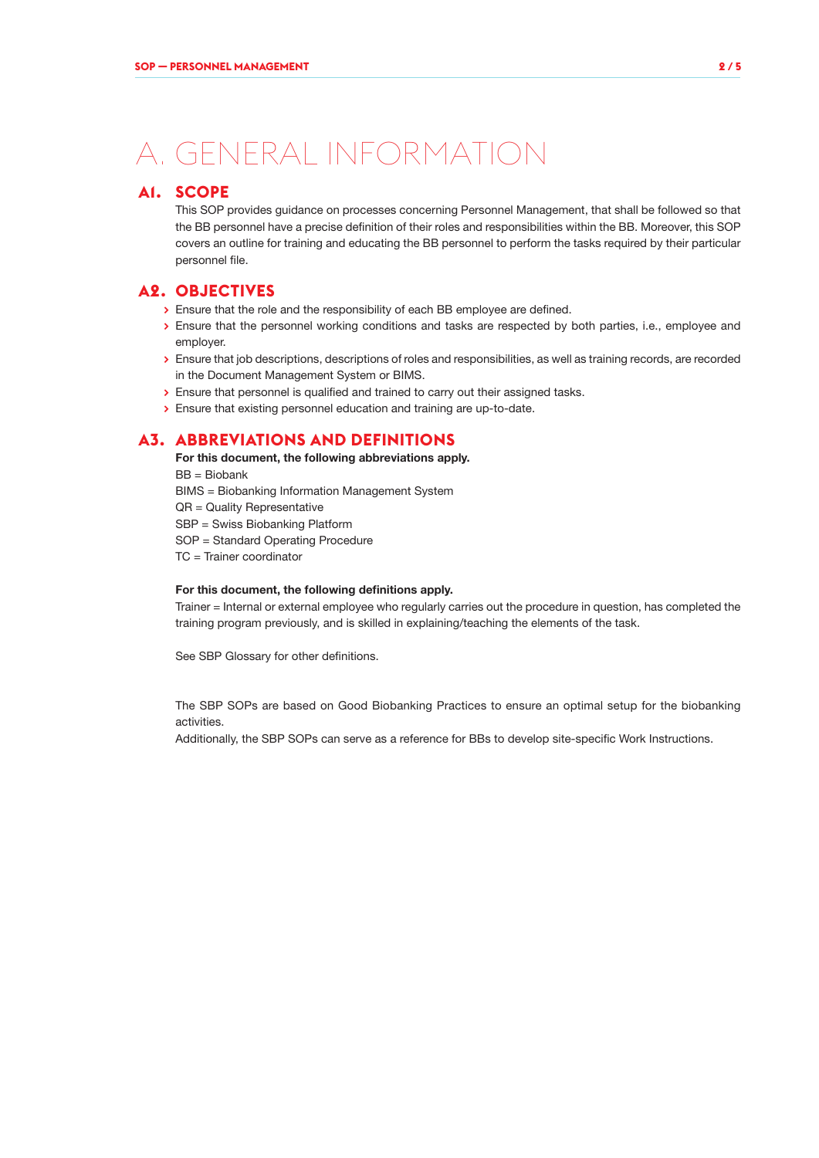## A. GENERAL INFORMATION

#### **A1. SCOPE**

This SOP provides guidance on processes concerning Personnel Management, that shall be followed so that the BB personnel have a precise definition of their roles and responsibilities within the BB. Moreover, this SOP covers an outline for training and educating the BB personnel to perform the tasks required by their particular personnel file.

#### **A2. OBJECTIVES**

- **>** Ensure that the role and the responsibility of each BB employee are defined.
- **>** Ensure that the personnel working conditions and tasks are respected by both parties, i.e., employee and employer.
- **>** Ensure that job descriptions, descriptions of roles and responsibilities, as well as training records, are recorded in the Document Management System or BIMS.
- **>** Ensure that personnel is qualified and trained to carry out their assigned tasks.
- **>** Ensure that existing personnel education and training are up-to-date.

#### **A3. ABBREVIATIONS AND DEFINITIONS**

For this document, the following abbreviations apply.

BB = Biobank

BIMS = Biobanking Information Management System

QR = Quality Representative

SBP = Swiss Biobanking Platform

SOP = Standard Operating Procedure

TC = Trainer coordinator

#### For this document, the following definitions apply.

Trainer = Internal or external employee who regularly carries out the procedure in question, has completed the training program previously, and is skilled in explaining/teaching the elements of the task.

See SBP Glossary for other definitions.

The SBP SOPs are based on Good Biobanking Practices to ensure an optimal setup for the biobanking activities.

Additionally, the SBP SOPs can serve as a reference for BBs to develop site-specific Work Instructions.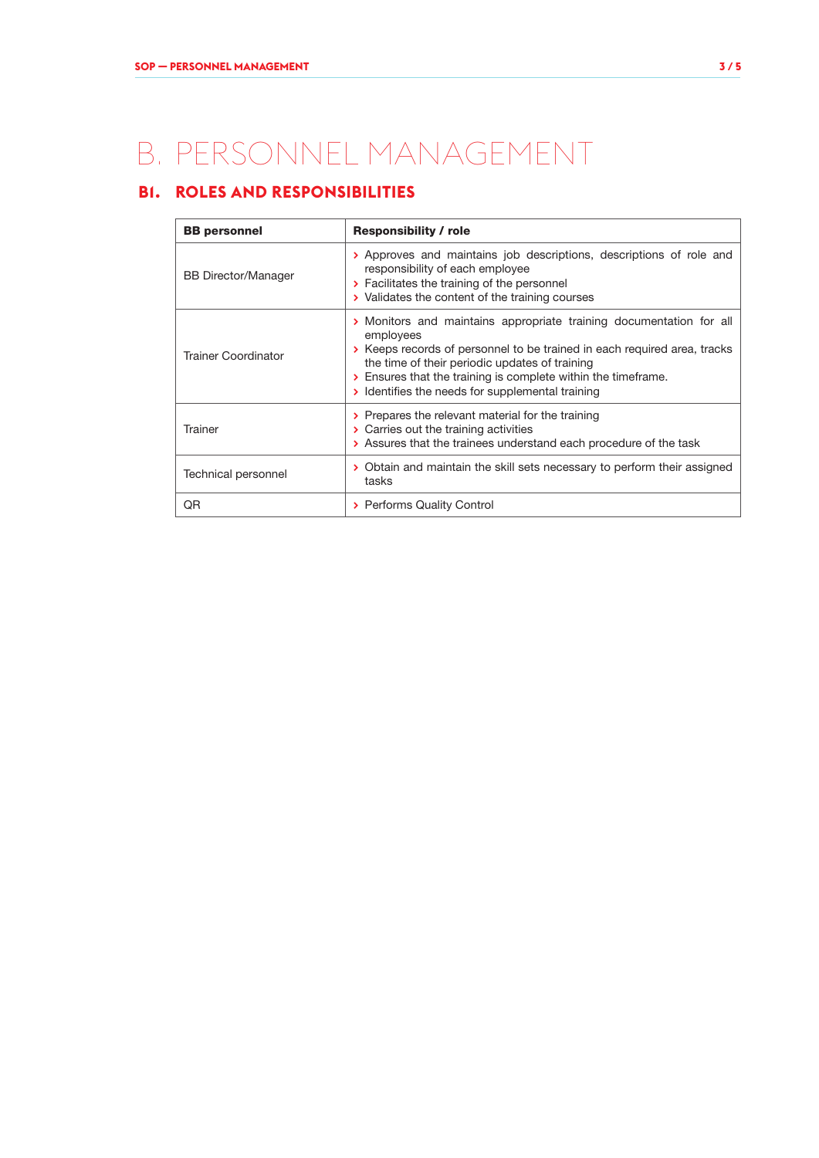## B. PERSONNEL MANAGEMENT

### **B1. ROLES AND RESPONSIBILITIES**

| <b>BB</b> personnel        | <b>Responsibility / role</b>                                                                                                                                                                                                                                                                                                        |  |  |
|----------------------------|-------------------------------------------------------------------------------------------------------------------------------------------------------------------------------------------------------------------------------------------------------------------------------------------------------------------------------------|--|--|
| <b>BB Director/Manager</b> | > Approves and maintains job descriptions, descriptions of role and<br>responsibility of each employee<br>> Facilitates the training of the personnel<br>> Validates the content of the training courses                                                                                                                            |  |  |
| Trainer Coordinator        | > Monitors and maintains appropriate training documentation for all<br>employees<br>> Keeps records of personnel to be trained in each required area, tracks<br>the time of their periodic updates of training<br>> Ensures that the training is complete within the timeframe.<br>> Identifies the needs for supplemental training |  |  |
| Trainer                    | > Prepares the relevant material for the training<br>> Carries out the training activities<br>> Assures that the trainees understand each procedure of the task                                                                                                                                                                     |  |  |
| Technical personnel        | > Obtain and maintain the skill sets necessary to perform their assigned<br>tasks                                                                                                                                                                                                                                                   |  |  |
| QR                         | > Performs Quality Control                                                                                                                                                                                                                                                                                                          |  |  |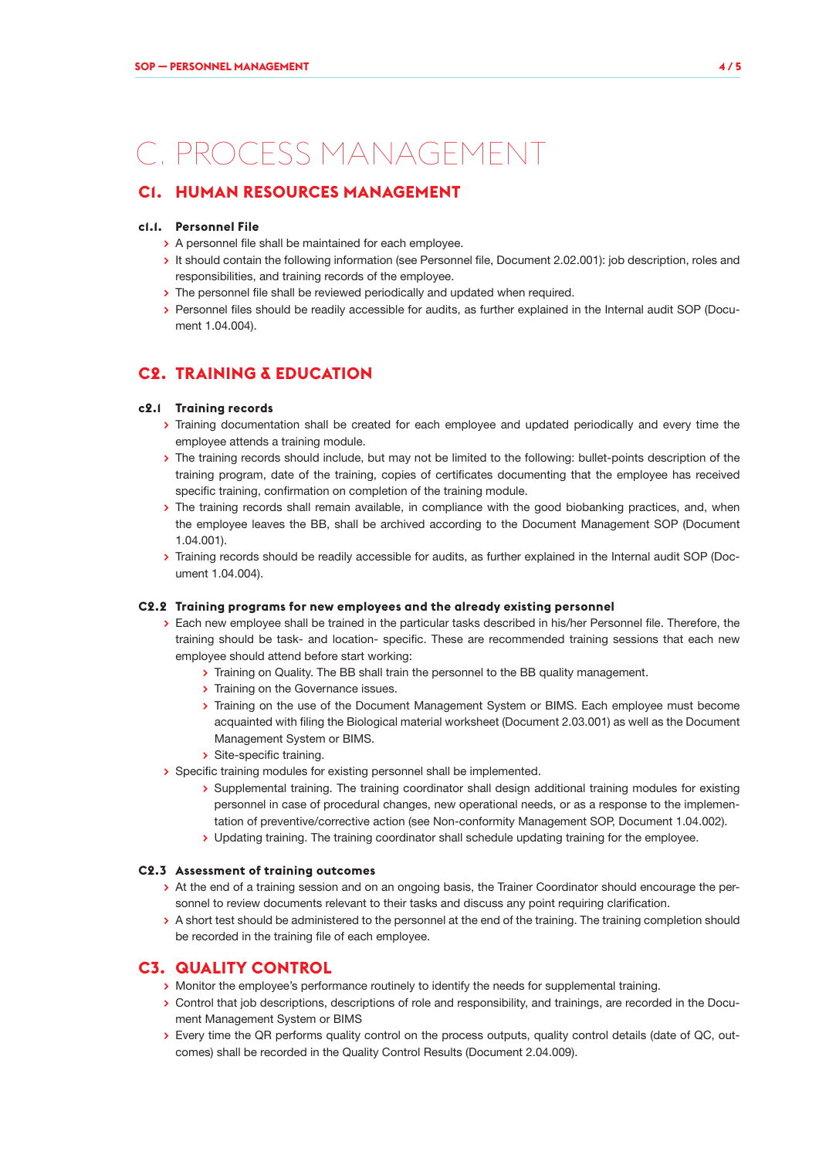## C. PROCESS MANAGEMENT

### **C1. HUMAN RESOURCES MANAGEMENT**

#### **c1.1. Personnel File**

- **>** A personnel file shall be maintained for each employee.
- **>** It should contain the following information (see Personnel file, Document 2.02.001): job description, roles and responsibilities, and training records of the employee.
- **>** The personnel file shall be reviewed periodically and updated when required.
- **>** Personnel files should be readily accessible for audits, as further explained in the Internal audit SOP (Document 1.04.004).

### **C2. TRAINING & EDUCATION**

#### **c2.1 Training records**

- **>** Training documentation shall be created for each employee and updated periodically and every time the employee attends a training module.
- **>** The training records should include, but may not be limited to the following: bullet-points description of the training program, date of the training, copies of certificates documenting that the employee has received specific training, confirmation on completion of the training module.
- **>** The training records shall remain available, in compliance with the good biobanking practices, and, when the employee leaves the BB, shall be archived according to the Document Management SOP (Document 1.04.001).
- **>** Training records should be readily accessible for audits, as further explained in the Internal audit SOP (Document 1.04.004).

#### **C2.2 Training programs for new employees and the already existing personnel**

- **>** Each new employee shall be trained in the particular tasks described in his/her Personnel file. Therefore, the training should be task- and location- specific. These are recommended training sessions that each new employee should attend before start working:
	- **>** Training on Quality. The BB shall train the personnel to the BB quality management.
	- **>** Training on the Governance issues.
	- **>** Training on the use of the Document Management System or BIMS. Each employee must become acquainted with filing the Biological material worksheet (Document 2.03.001) as well as the Document Management System or BIMS.
	- **>** Site-specific training.
- **>** Specific training modules for existing personnel shall be implemented.
	- **>** Supplemental training. The training coordinator shall design additional training modules for existing personnel in case of procedural changes, new operational needs, or as a response to the implementation of preventive/corrective action (see Non-conformity Management SOP, Document 1.04.002).
	- **>** Updating training. The training coordinator shall schedule updating training for the employee.

#### **C2.3 Assessment of training outcomes**

- **>** At the end of a training session and on an ongoing basis, the Trainer Coordinator should encourage the personnel to review documents relevant to their tasks and discuss any point requiring clarification.
- **>** A short test should be administered to the personnel at the end of the training. The training completion should be recorded in the training file of each employee.

#### **C3. QUALITY CONTROL**

- **>** Monitor the employee's performance routinely to identify the needs for supplemental training.
- **>** Control that job descriptions, descriptions of role and responsibility, and trainings, are recorded in the Document Management System or BIMS
- **>** Every time the QR performs quality control on the process outputs, quality control details (date of QC, outcomes) shall be recorded in the Quality Control Results (Document 2.04.009).